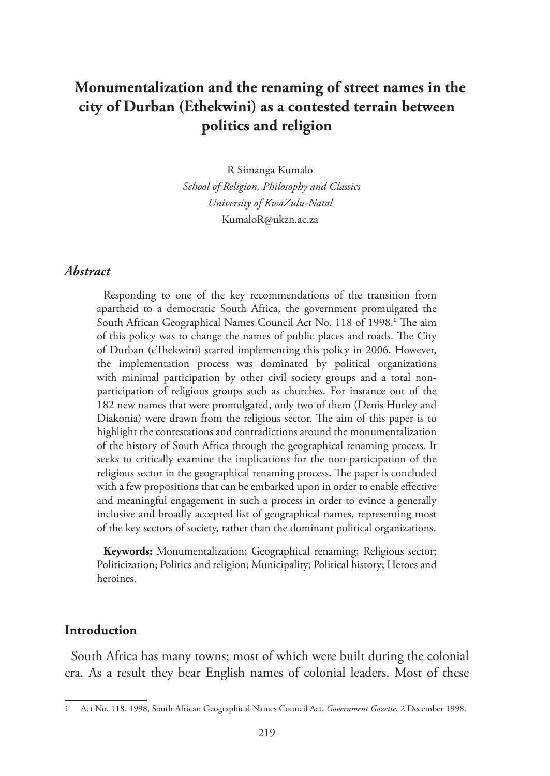# **Monumentalization and the renaming of street names in the city of Durban (Ethekwini) as a contested terrain between politics and religion**

R Simanga Kumalo *School of Religion, Philosophy and Classics University of KwaZulu-Natal* KumaloR@ukzn.ac.za

#### *Abstract*

Responding to one of the key recommendations of the transition from apartheid to a democratic South Africa, the government promulgated the South African Geographical Names Council Act No. 118 of 1998.<sup>1</sup> The aim of this policy was to change the names of public places and roads. The City of Durban (eThekwini) started implementing this policy in 2006. However, the implementation process was dominated by political organizations with minimal participation by other civil society groups and a total nonparticipation of religious groups such as churches. For instance out of the 182 new names that were promulgated, only two of them (Denis Hurley and Diakonia) were drawn from the religious sector. The aim of this paper is to highlight the contestations and contradictions around the monumentalization of the history of South Africa through the geographical renaming process. It seeks to critically examine the implications for the non-participation of the religious sector in the geographical renaming process. The paper is concluded with a few propositions that can be embarked upon in order to enable effective and meaningful engagement in such a process in order to evince a generally inclusive and broadly accepted list of geographical names, representing most of the key sectors of society, rather than the dominant political organizations.

**Keywords:** Monumentalization; Geographical renaming; Religious sector; Politicization; Politics and religion; Municipality; Political history; Heroes and heroines.

#### **Introduction**

South Africa has many towns; most of which were built during the colonial era. As a result they bear English names of colonial leaders. Most of these

<sup>1</sup> Act No. 118, 1998, South African Geographical Names Council Act, *Government Gazette*, 2 December 1998.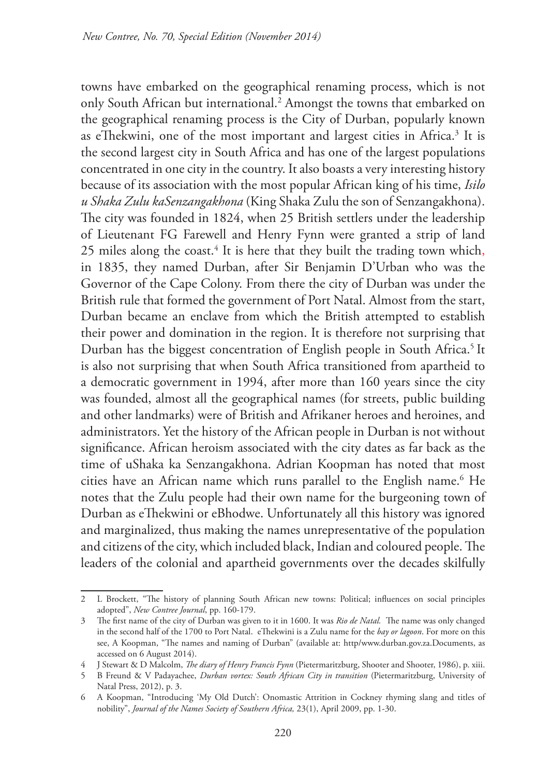towns have embarked on the geographical renaming process, which is not only South African but international.2 Amongst the towns that embarked on the geographical renaming process is the City of Durban, popularly known as eThekwini, one of the most important and largest cities in Africa.<sup>3</sup> It is the second largest city in South Africa and has one of the largest populations concentrated in one city in the country. It also boasts a very interesting history because of its association with the most popular African king of his time, *Isilo u Shaka Zulu kaSenzangakhona* (King Shaka Zulu the son of Senzangakhona). The city was founded in 1824, when 25 British settlers under the leadership of Lieutenant FG Farewell and Henry Fynn were granted a strip of land 25 miles along the coast.4 It is here that they built the trading town which, in 1835, they named Durban, after Sir Benjamin D'Urban who was the Governor of the Cape Colony. From there the city of Durban was under the British rule that formed the government of Port Natal. Almost from the start, Durban became an enclave from which the British attempted to establish their power and domination in the region. It is therefore not surprising that Durban has the biggest concentration of English people in South Africa.<sup>5</sup> It is also not surprising that when South Africa transitioned from apartheid to a democratic government in 1994, after more than 160 years since the city was founded, almost all the geographical names (for streets, public building and other landmarks) were of British and Afrikaner heroes and heroines, and administrators. Yet the history of the African people in Durban is not without significance. African heroism associated with the city dates as far back as the time of uShaka ka Senzangakhona. Adrian Koopman has noted that most cities have an African name which runs parallel to the English name.6 He notes that the Zulu people had their own name for the burgeoning town of Durban as eThekwini or eBhodwe. Unfortunately all this history was ignored and marginalized, thus making the names unrepresentative of the population and citizens of the city, which included black, Indian and coloured people. The leaders of the colonial and apartheid governments over the decades skilfully

<sup>2</sup> L Brockett, "The history of planning South African new towns: Political; influences on social principles adopted", *New Contree Journal*, pp. 160-179.

<sup>3</sup> The first name of the city of Durban was given to it in 1600. It was *Rio de Natal.* The name was only changed in the second half of the 1700 to Port Natal. eThekwini is a Zulu name for the *bay or lagoon*. For more on this see, A Koopman, "The names and naming of Durban" (available at: http/www.durban.gov.za.Documents, as accessed on 6 August 2014).

<sup>4</sup> J Stewart & D Malcolm, *The diary of Henry Francis Fynn* (Pietermaritzburg, Shooter and Shooter, 1986), p. xiii.

<sup>5</sup> B Freund & V Padayachee, *Durban vortex: South African City in transition* (Pietermaritzburg, University of Natal Press, 2012), p. 3.

<sup>6</sup> A Koopman, "Introducing 'My Old Dutch': Onomastic Attrition in Cockney rhyming slang and titles of nobility", *Journal of the Names Society of Southern Africa,* 23(1), April 2009, pp. 1-30.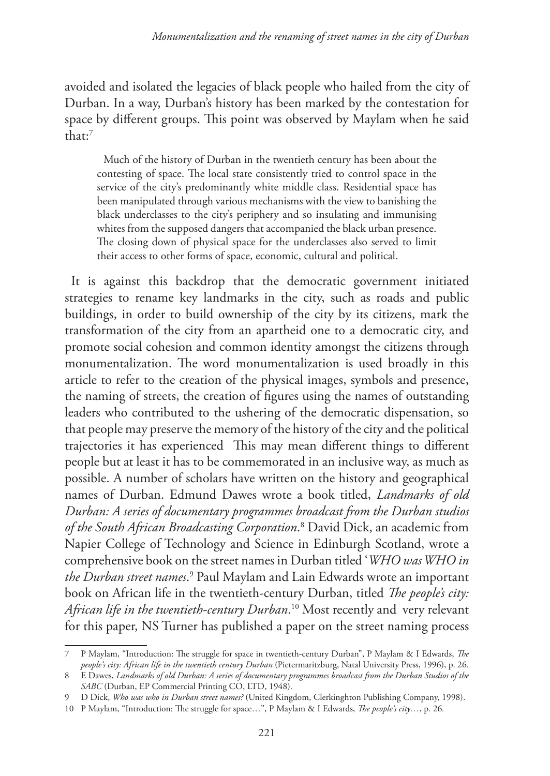avoided and isolated the legacies of black people who hailed from the city of Durban. In a way, Durban's history has been marked by the contestation for space by different groups. This point was observed by Maylam when he said that:7

Much of the history of Durban in the twentieth century has been about the contesting of space. The local state consistently tried to control space in the service of the city's predominantly white middle class. Residential space has been manipulated through various mechanisms with the view to banishing the black underclasses to the city's periphery and so insulating and immunising whites from the supposed dangers that accompanied the black urban presence. The closing down of physical space for the underclasses also served to limit their access to other forms of space, economic, cultural and political.

It is against this backdrop that the democratic government initiated strategies to rename key landmarks in the city, such as roads and public buildings, in order to build ownership of the city by its citizens, mark the transformation of the city from an apartheid one to a democratic city, and promote social cohesion and common identity amongst the citizens through monumentalization. The word monumentalization is used broadly in this article to refer to the creation of the physical images, symbols and presence, the naming of streets, the creation of figures using the names of outstanding leaders who contributed to the ushering of the democratic dispensation, so that people may preserve the memory of the history of the city and the political trajectories it has experienced This may mean different things to different people but at least it has to be commemorated in an inclusive way, as much as possible. A number of scholars have written on the history and geographical names of Durban. Edmund Dawes wrote a book titled, *Landmarks of old Durban: A series of documentary programmes broadcast from the Durban studios of the South African Broadcasting Corporation*. 8 David Dick, an academic from Napier College of Technology and Science in Edinburgh Scotland, wrote a comprehensive book on the street names in Durban titled '*WHO was WHO in the Durban street names*. 9 Paul Maylam and Lain Edwards wrote an important book on African life in the twentieth-century Durban, titled *The people's city: African life in the twentieth-century Durban*. 10 Most recently and very relevant for this paper, NS Turner has published a paper on the street naming process

<sup>7</sup> P Maylam, "Introduction: The struggle for space in twentieth-century Durban", P Maylam & I Edwards, *The people's city: African life in the twentieth century Durban* (Pietermaritzburg, Natal University Press, 1996), p. 26.

<sup>8</sup> E Dawes, *Landmarks of old Durban: A series of documentary programmes broadcast from the Durban Studios of the SABC* (Durban, EP Commercial Printing CO, LTD, 1948).

<sup>9</sup> D Dick, *Who was who in Durban street names?* (United Kingdom, Clerkinghton Publishing Company, 1998).

<sup>10</sup> P Maylam, "Introduction: The struggle for space…", P Maylam & I Edwards, *The people's city…*, p. 26*.*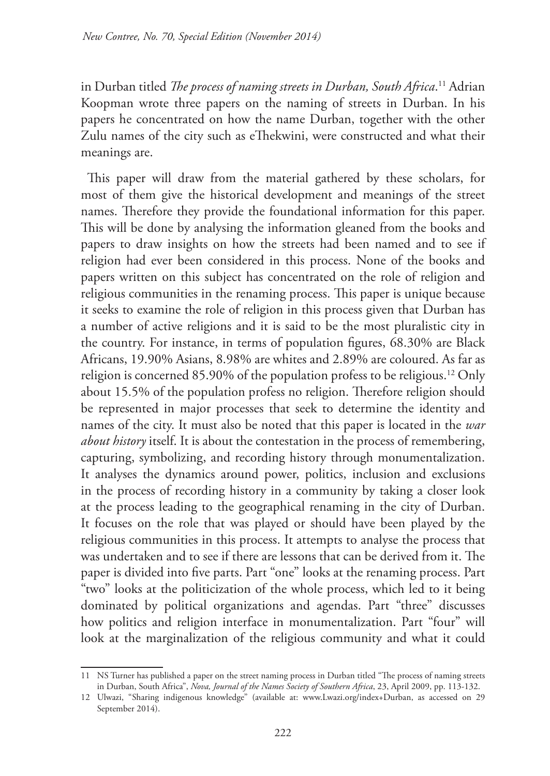in Durban titled *The process of naming streets in Durban, South Africa*. <sup>11</sup> Adrian Koopman wrote three papers on the naming of streets in Durban. In his papers he concentrated on how the name Durban, together with the other Zulu names of the city such as eThekwini, were constructed and what their meanings are.

This paper will draw from the material gathered by these scholars, for most of them give the historical development and meanings of the street names. Therefore they provide the foundational information for this paper. This will be done by analysing the information gleaned from the books and papers to draw insights on how the streets had been named and to see if religion had ever been considered in this process. None of the books and papers written on this subject has concentrated on the role of religion and religious communities in the renaming process. This paper is unique because it seeks to examine the role of religion in this process given that Durban has a number of active religions and it is said to be the most pluralistic city in the country. For instance, in terms of population figures, 68.30% are Black Africans, 19.90% Asians, 8.98% are whites and 2.89% are coloured. As far as religion is concerned 85.90% of the population profess to be religious.12 Only about 15.5% of the population profess no religion. Therefore religion should be represented in major processes that seek to determine the identity and names of the city. It must also be noted that this paper is located in the *war about history* itself. It is about the contestation in the process of remembering, capturing, symbolizing, and recording history through monumentalization. It analyses the dynamics around power, politics, inclusion and exclusions in the process of recording history in a community by taking a closer look at the process leading to the geographical renaming in the city of Durban. It focuses on the role that was played or should have been played by the religious communities in this process. It attempts to analyse the process that was undertaken and to see if there are lessons that can be derived from it. The paper is divided into five parts. Part "one" looks at the renaming process. Part "two" looks at the politicization of the whole process, which led to it being dominated by political organizations and agendas. Part "three" discusses how politics and religion interface in monumentalization. Part "four" will look at the marginalization of the religious community and what it could

<sup>11</sup> NS Turner has published a paper on the street naming process in Durban titled "The process of naming streets in Durban, South Africa", *Nova, Journal of the Names Society of Southern Africa*, 23, April 2009, pp. 113-132.

<sup>12</sup> Ulwazi, "Sharing indigenous knowledge" (available at: www.Lwazi.org/index+Durban, as accessed on 29 September 2014).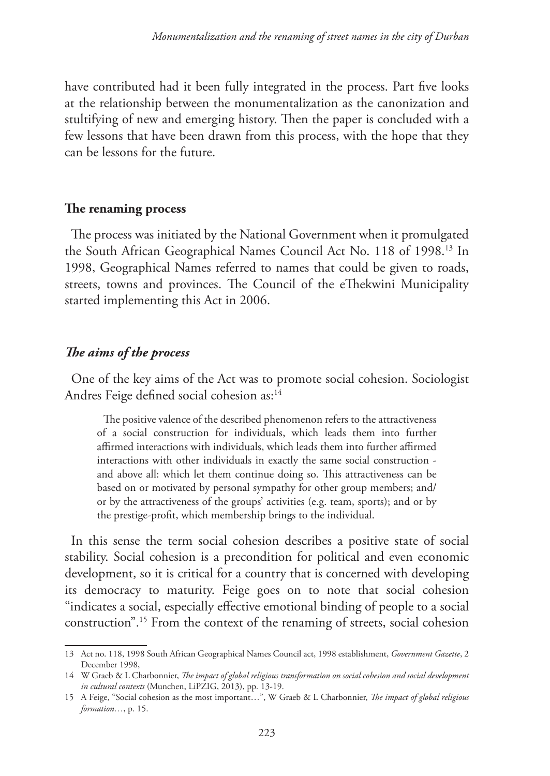have contributed had it been fully integrated in the process. Part five looks at the relationship between the monumentalization as the canonization and stultifying of new and emerging history. Then the paper is concluded with a few lessons that have been drawn from this process, with the hope that they can be lessons for the future.

#### **The renaming process**

The process was initiated by the National Government when it promulgated the South African Geographical Names Council Act No. 118 of 1998.13 In 1998, Geographical Names referred to names that could be given to roads, streets, towns and provinces. The Council of the eThekwini Municipality started implementing this Act in 2006.

#### *The aims of the process*

One of the key aims of the Act was to promote social cohesion. Sociologist Andres Feige defined social cohesion as:<sup>14</sup>

The positive valence of the described phenomenon refers to the attractiveness of a social construction for individuals, which leads them into further affirmed interactions with individuals, which leads them into further affirmed interactions with other individuals in exactly the same social construction and above all: which let them continue doing so. This attractiveness can be based on or motivated by personal sympathy for other group members; and/ or by the attractiveness of the groups' activities (e.g. team, sports); and or by the prestige-profit, which membership brings to the individual.

In this sense the term social cohesion describes a positive state of social stability. Social cohesion is a precondition for political and even economic development, so it is critical for a country that is concerned with developing its democracy to maturity. Feige goes on to note that social cohesion "indicates a social, especially effective emotional binding of people to a social construction".15 From the context of the renaming of streets, social cohesion

<sup>13</sup> Act no. 118, 1998 South African Geographical Names Council act, 1998 establishment, *Government Gazette*, 2 December 1998,

<sup>14</sup> W Graeb & L Charbonnier, *The impact of global religious transformation on social cohesion and social development in cultural contexts* (Munchen, LiPZIG, 2013), pp. 13-19.

<sup>15</sup> A Feige, "Social cohesion as the most important…", W Graeb & L Charbonnier, *The impact of global religious formation…*, p. 15.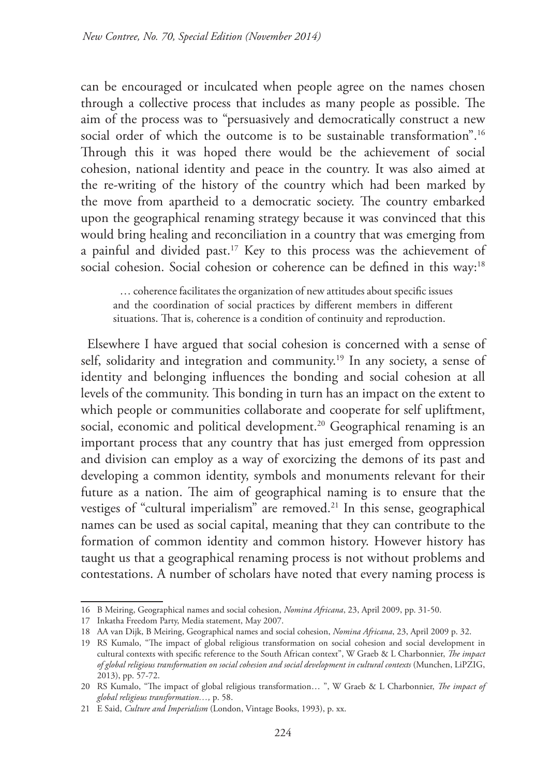can be encouraged or inculcated when people agree on the names chosen through a collective process that includes as many people as possible. The aim of the process was to "persuasively and democratically construct a new social order of which the outcome is to be sustainable transformation".<sup>16</sup> Through this it was hoped there would be the achievement of social cohesion, national identity and peace in the country. It was also aimed at the re-writing of the history of the country which had been marked by the move from apartheid to a democratic society. The country embarked upon the geographical renaming strategy because it was convinced that this would bring healing and reconciliation in a country that was emerging from a painful and divided past.17 Key to this process was the achievement of social cohesion. Social cohesion or coherence can be defined in this way:<sup>18</sup>

… coherence facilitates the organization of new attitudes about specific issues and the coordination of social practices by different members in different situations. That is, coherence is a condition of continuity and reproduction.

Elsewhere I have argued that social cohesion is concerned with a sense of self, solidarity and integration and community.<sup>19</sup> In any society, a sense of identity and belonging influences the bonding and social cohesion at all levels of the community. This bonding in turn has an impact on the extent to which people or communities collaborate and cooperate for self upliftment, social, economic and political development.<sup>20</sup> Geographical renaming is an important process that any country that has just emerged from oppression and division can employ as a way of exorcizing the demons of its past and developing a common identity, symbols and monuments relevant for their future as a nation. The aim of geographical naming is to ensure that the vestiges of "cultural imperialism" are removed.<sup>21</sup> In this sense, geographical names can be used as social capital, meaning that they can contribute to the formation of common identity and common history. However history has taught us that a geographical renaming process is not without problems and contestations. A number of scholars have noted that every naming process is

<sup>16</sup> B Meiring, Geographical names and social cohesion, *Nomina Africana*, 23, April 2009, pp. 31-50.

<sup>17</sup> Inkatha Freedom Party, Media statement, May 2007.

<sup>18</sup> AA van Dijk, B Meiring, Geographical names and social cohesion, *Nomina Africana*, 23, April 2009 p. 32.

<sup>19</sup> RS Kumalo, "The impact of global religious transformation on social cohesion and social development in cultural contexts with specific reference to the South African context", W Graeb & L Charbonnier, *The impact of global religious transformation on social cohesion and social development in cultural contexts* (Munchen, LiPZIG, 2013), pp. 57-72.

<sup>20</sup> RS Kumalo, "The impact of global religious transformation… ", W Graeb & L Charbonnier, *The impact of global religious transformation…,* p. 58.

<sup>21</sup> E Said, *Culture and Imperialism* (London, Vintage Books, 1993), p. xx.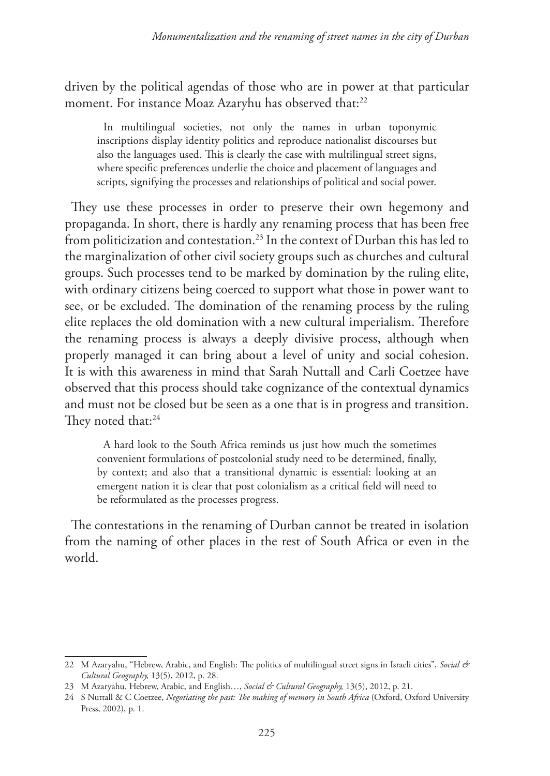driven by the political agendas of those who are in power at that particular moment. For instance Moaz Azaryhu has observed that:<sup>22</sup>

In multilingual societies, not only the names in urban toponymic inscriptions display identity politics and reproduce nationalist discourses but also the languages used. This is clearly the case with multilingual street signs, where specific preferences underlie the choice and placement of languages and scripts, signifying the processes and relationships of political and social power.

They use these processes in order to preserve their own hegemony and propaganda. In short, there is hardly any renaming process that has been free from politicization and contestation.<sup>23</sup> In the context of Durban this has led to the marginalization of other civil society groups such as churches and cultural groups. Such processes tend to be marked by domination by the ruling elite, with ordinary citizens being coerced to support what those in power want to see, or be excluded. The domination of the renaming process by the ruling elite replaces the old domination with a new cultural imperialism. Therefore the renaming process is always a deeply divisive process, although when properly managed it can bring about a level of unity and social cohesion. It is with this awareness in mind that Sarah Nuttall and Carli Coetzee have observed that this process should take cognizance of the contextual dynamics and must not be closed but be seen as a one that is in progress and transition. They noted that:<sup>24</sup>

A hard look to the South Africa reminds us just how much the sometimes convenient formulations of postcolonial study need to be determined, finally, by context; and also that a transitional dynamic is essential: looking at an emergent nation it is clear that post colonialism as a critical field will need to be reformulated as the processes progress.

The contestations in the renaming of Durban cannot be treated in isolation from the naming of other places in the rest of South Africa or even in the world.

<sup>22</sup> M Azaryahu, "Hebrew, Arabic, and English: The politics of multilingual street signs in Israeli cities", *Social & Cultural Geography,* 13(5), 2012, p. 28.

<sup>23</sup> M Azaryahu, Hebrew, Arabic, and English…, *Social & Cultural Geography,* 13(5), 2012, p. 21.

<sup>24</sup> S Nuttall & C Coetzee, *Negotiating the past: The making of memory in South Africa* (Oxford, Oxford University Press, 2002), p. 1.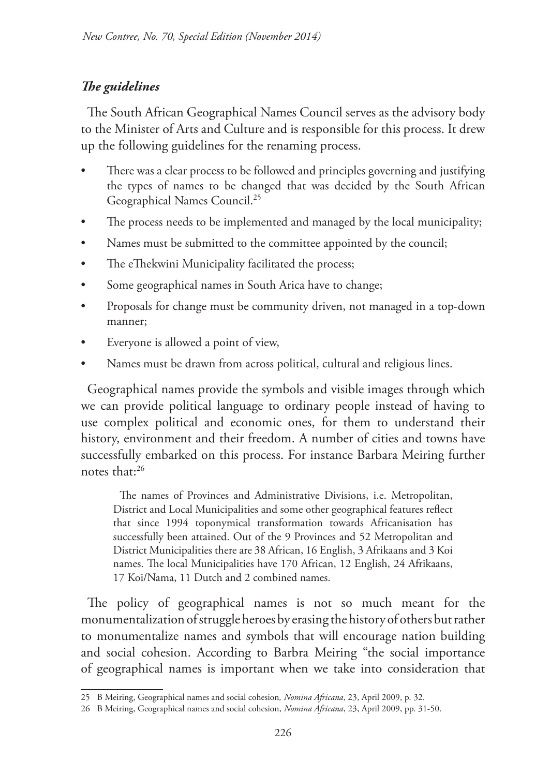## *The guidelines*

The South African Geographical Names Council serves as the advisory body to the Minister of Arts and Culture and is responsible for this process. It drew up the following guidelines for the renaming process.

- There was a clear process to be followed and principles governing and justifying the types of names to be changed that was decided by the South African Geographical Names Council.25
- The process needs to be implemented and managed by the local municipality;
- Names must be submitted to the committee appointed by the council;
- The eThekwini Municipality facilitated the process;
- Some geographical names in South Arica have to change;
- Proposals for change must be community driven, not managed in a top-down manner;
- Everyone is allowed a point of view,
- Names must be drawn from across political, cultural and religious lines.

Geographical names provide the symbols and visible images through which we can provide political language to ordinary people instead of having to use complex political and economic ones, for them to understand their history, environment and their freedom. A number of cities and towns have successfully embarked on this process. For instance Barbara Meiring further notes that:26

The names of Provinces and Administrative Divisions, i.e. Metropolitan, District and Local Municipalities and some other geographical features reflect that since 1994 toponymical transformation towards Africanisation has successfully been attained. Out of the 9 Provinces and 52 Metropolitan and District Municipalities there are 38 African, 16 English, 3 Afrikaans and 3 Koi names. The local Municipalities have 170 African, 12 English, 24 Afrikaans, 17 Koi/Nama, 11 Dutch and 2 combined names.

The policy of geographical names is not so much meant for the monumentalization of struggle heroes by erasing the history of others but rather to monumentalize names and symbols that will encourage nation building and social cohesion. According to Barbra Meiring "the social importance of geographical names is important when we take into consideration that

<sup>25</sup> B Meiring, Geographical names and social cohesion*, Nomina Africana*, 23, April 2009, p. 32.

<sup>26</sup> B Meiring, Geographical names and social cohesion, *Nomina Africana*, 23, April 2009, pp. 31-50.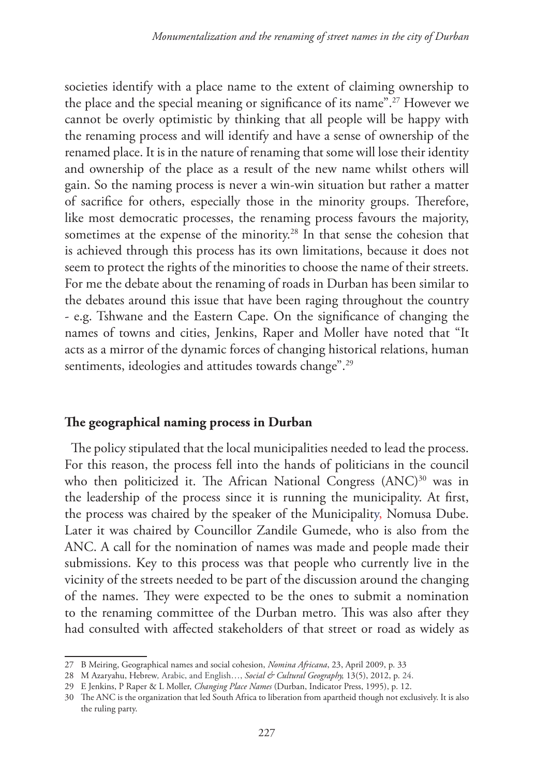societies identify with a place name to the extent of claiming ownership to the place and the special meaning or significance of its name".27 However we cannot be overly optimistic by thinking that all people will be happy with the renaming process and will identify and have a sense of ownership of the renamed place. It is in the nature of renaming that some will lose their identity and ownership of the place as a result of the new name whilst others will gain. So the naming process is never a win-win situation but rather a matter of sacrifice for others, especially those in the minority groups. Therefore, like most democratic processes, the renaming process favours the majority, sometimes at the expense of the minority.<sup>28</sup> In that sense the cohesion that is achieved through this process has its own limitations, because it does not seem to protect the rights of the minorities to choose the name of their streets. For me the debate about the renaming of roads in Durban has been similar to the debates around this issue that have been raging throughout the country - e.g. Tshwane and the Eastern Cape. On the significance of changing the names of towns and cities, Jenkins, Raper and Moller have noted that "It acts as a mirror of the dynamic forces of changing historical relations, human sentiments, ideologies and attitudes towards change".<sup>29</sup>

#### **The geographical naming process in Durban**

The policy stipulated that the local municipalities needed to lead the process. For this reason, the process fell into the hands of politicians in the council who then politicized it. The African National Congress (ANC)<sup>30</sup> was in the leadership of the process since it is running the municipality. At first, the process was chaired by the speaker of the Municipality, Nomusa Dube. Later it was chaired by Councillor Zandile Gumede, who is also from the ANC. A call for the nomination of names was made and people made their submissions. Key to this process was that people who currently live in the vicinity of the streets needed to be part of the discussion around the changing of the names. They were expected to be the ones to submit a nomination to the renaming committee of the Durban metro. This was also after they had consulted with affected stakeholders of that street or road as widely as

<sup>27</sup> B Meiring, Geographical names and social cohesion, *Nomina Africana*, 23, April 2009, p. 33

<sup>28</sup> M Azaryahu, Hebrew*,* Arabic, and English…, *Social & Cultural Geography,* 13(5), 2012, p. 24.

<sup>29</sup> E Jenkins, P Raper & L Moller, *Changing Place Names* (Durban, Indicator Press, 1995), p. 12.

<sup>30</sup> The ANC is the organization that led South Africa to liberation from apartheid though not exclusively. It is also the ruling party.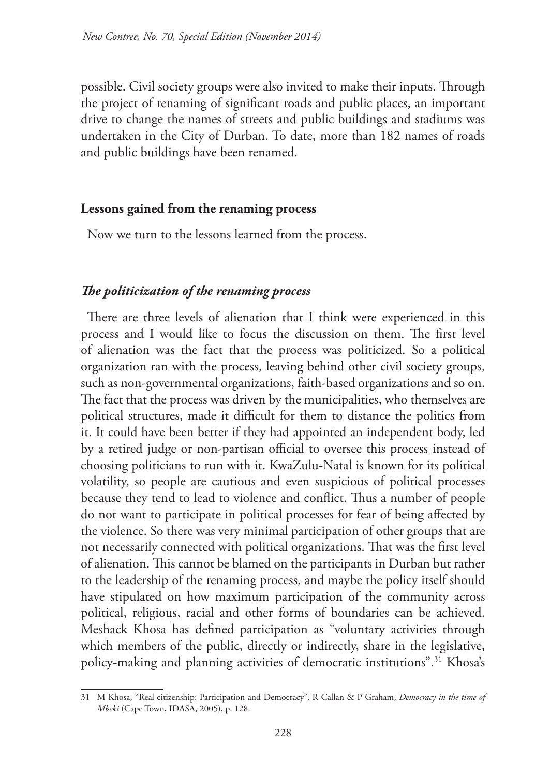possible. Civil society groups were also invited to make their inputs. Through the project of renaming of significant roads and public places, an important drive to change the names of streets and public buildings and stadiums was undertaken in the City of Durban. To date, more than 182 names of roads and public buildings have been renamed.

#### **Lessons gained from the renaming process**

Now we turn to the lessons learned from the process.

#### *The politicization of the renaming process*

There are three levels of alienation that I think were experienced in this process and I would like to focus the discussion on them. The first level of alienation was the fact that the process was politicized. So a political organization ran with the process, leaving behind other civil society groups, such as non-governmental organizations, faith-based organizations and so on. The fact that the process was driven by the municipalities, who themselves are political structures, made it difficult for them to distance the politics from it. It could have been better if they had appointed an independent body, led by a retired judge or non-partisan official to oversee this process instead of choosing politicians to run with it. KwaZulu-Natal is known for its political volatility, so people are cautious and even suspicious of political processes because they tend to lead to violence and conflict. Thus a number of people do not want to participate in political processes for fear of being affected by the violence. So there was very minimal participation of other groups that are not necessarily connected with political organizations. That was the first level of alienation. This cannot be blamed on the participants in Durban but rather to the leadership of the renaming process, and maybe the policy itself should have stipulated on how maximum participation of the community across political, religious, racial and other forms of boundaries can be achieved. Meshack Khosa has defined participation as "voluntary activities through which members of the public, directly or indirectly, share in the legislative, policy-making and planning activities of democratic institutions".31 Khosa's

<sup>31</sup> M Khosa, "Real citizenship: Participation and Democracy", R Callan & P Graham, *Democracy in the time of Mbeki* (Cape Town, IDASA, 2005), p. 128.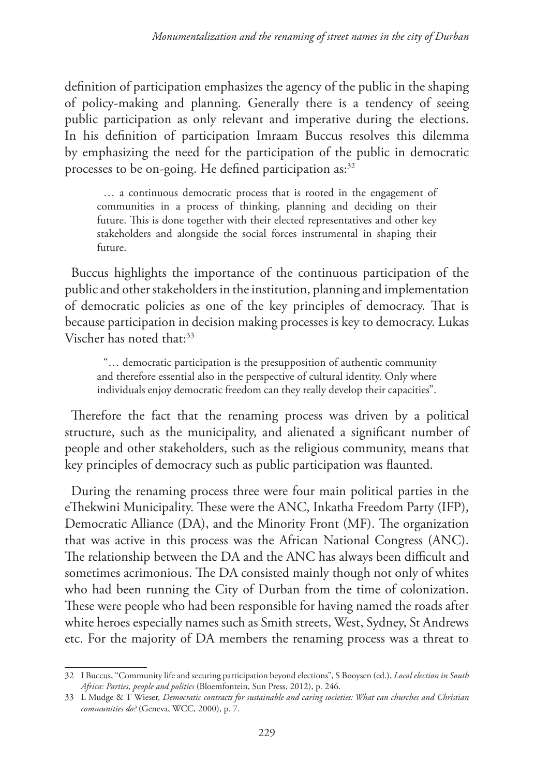definition of participation emphasizes the agency of the public in the shaping of policy-making and planning. Generally there is a tendency of seeing public participation as only relevant and imperative during the elections. In his definition of participation Imraam Buccus resolves this dilemma by emphasizing the need for the participation of the public in democratic processes to be on-going. He defined participation as:<sup>32</sup>

… a continuous democratic process that is rooted in the engagement of communities in a process of thinking, planning and deciding on their future. This is done together with their elected representatives and other key stakeholders and alongside the social forces instrumental in shaping their future.

Buccus highlights the importance of the continuous participation of the public and other stakeholders in the institution, planning and implementation of democratic policies as one of the key principles of democracy. That is because participation in decision making processes is key to democracy. Lukas Vischer has noted that:<sup>33</sup>

"… democratic participation is the presupposition of authentic community and therefore essential also in the perspective of cultural identity. Only where individuals enjoy democratic freedom can they really develop their capacities".

Therefore the fact that the renaming process was driven by a political structure, such as the municipality, and alienated a significant number of people and other stakeholders, such as the religious community, means that key principles of democracy such as public participation was flaunted.

During the renaming process three were four main political parties in the eThekwini Municipality. These were the ANC, Inkatha Freedom Party (IFP), Democratic Alliance (DA), and the Minority Front (MF). The organization that was active in this process was the African National Congress (ANC). The relationship between the DA and the ANC has always been difficult and sometimes acrimonious. The DA consisted mainly though not only of whites who had been running the City of Durban from the time of colonization. These were people who had been responsible for having named the roads after white heroes especially names such as Smith streets, West, Sydney, St Andrews etc. For the majority of DA members the renaming process was a threat to

<sup>32</sup> I Buccus, "Community life and securing participation beyond elections", S Booysen (ed.), *Local election in South Africa: Parties, people and politics* (Bloemfontein, Sun Press, 2012), p. 246.

<sup>33</sup> L Mudge & T Wieser, *Democratic contracts for sustainable and caring societies: What can churches and Christian communities do?* (Geneva, WCC, 2000), p. 7.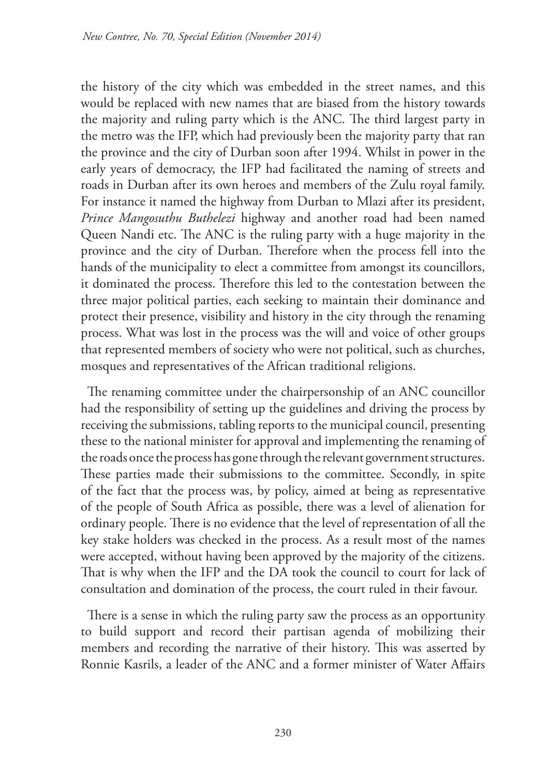the history of the city which was embedded in the street names, and this would be replaced with new names that are biased from the history towards the majority and ruling party which is the ANC. The third largest party in the metro was the IFP, which had previously been the majority party that ran the province and the city of Durban soon after 1994. Whilst in power in the early years of democracy, the IFP had facilitated the naming of streets and roads in Durban after its own heroes and members of the Zulu royal family. For instance it named the highway from Durban to Mlazi after its president, *Prince Mangosuthu Buthelezi* highway and another road had been named Queen Nandi etc. The ANC is the ruling party with a huge majority in the province and the city of Durban. Therefore when the process fell into the hands of the municipality to elect a committee from amongst its councillors, it dominated the process. Therefore this led to the contestation between the three major political parties, each seeking to maintain their dominance and protect their presence, visibility and history in the city through the renaming process. What was lost in the process was the will and voice of other groups that represented members of society who were not political, such as churches, mosques and representatives of the African traditional religions.

The renaming committee under the chairpersonship of an ANC councillor had the responsibility of setting up the guidelines and driving the process by receiving the submissions, tabling reports to the municipal council, presenting these to the national minister for approval and implementing the renaming of the roads once the process has gone through the relevant government structures. These parties made their submissions to the committee. Secondly, in spite of the fact that the process was, by policy, aimed at being as representative of the people of South Africa as possible, there was a level of alienation for ordinary people. There is no evidence that the level of representation of all the key stake holders was checked in the process. As a result most of the names were accepted, without having been approved by the majority of the citizens. That is why when the IFP and the DA took the council to court for lack of consultation and domination of the process, the court ruled in their favour.

There is a sense in which the ruling party saw the process as an opportunity to build support and record their partisan agenda of mobilizing their members and recording the narrative of their history. This was asserted by Ronnie Kasrils, a leader of the ANC and a former minister of Water Affairs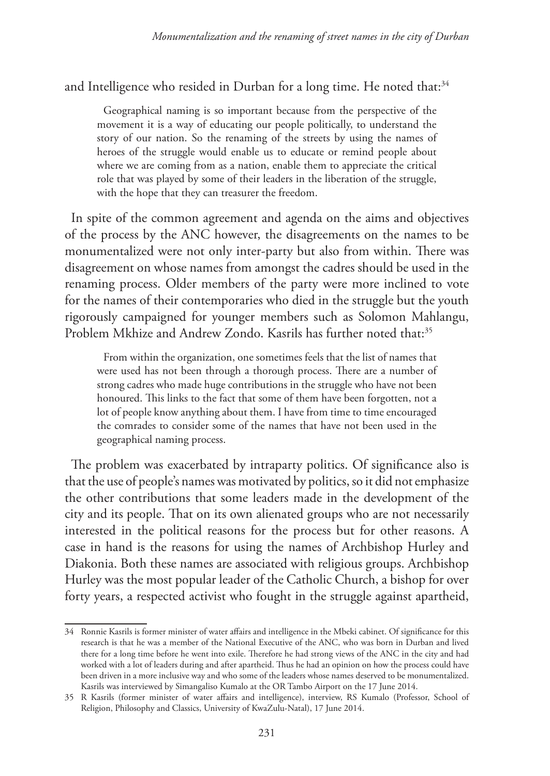and Intelligence who resided in Durban for a long time. He noted that:<sup>34</sup>

Geographical naming is so important because from the perspective of the movement it is a way of educating our people politically, to understand the story of our nation. So the renaming of the streets by using the names of heroes of the struggle would enable us to educate or remind people about where we are coming from as a nation, enable them to appreciate the critical role that was played by some of their leaders in the liberation of the struggle, with the hope that they can treasurer the freedom.

In spite of the common agreement and agenda on the aims and objectives of the process by the ANC however, the disagreements on the names to be monumentalized were not only inter-party but also from within. There was disagreement on whose names from amongst the cadres should be used in the renaming process. Older members of the party were more inclined to vote for the names of their contemporaries who died in the struggle but the youth rigorously campaigned for younger members such as Solomon Mahlangu, Problem Mkhize and Andrew Zondo. Kasrils has further noted that:<sup>35</sup>

From within the organization, one sometimes feels that the list of names that were used has not been through a thorough process. There are a number of strong cadres who made huge contributions in the struggle who have not been honoured. This links to the fact that some of them have been forgotten, not a lot of people know anything about them. I have from time to time encouraged the comrades to consider some of the names that have not been used in the geographical naming process.

The problem was exacerbated by intraparty politics. Of significance also is that the use of people's names was motivated by politics, so it did not emphasize the other contributions that some leaders made in the development of the city and its people. That on its own alienated groups who are not necessarily interested in the political reasons for the process but for other reasons. A case in hand is the reasons for using the names of Archbishop Hurley and Diakonia. Both these names are associated with religious groups. Archbishop Hurley was the most popular leader of the Catholic Church, a bishop for over forty years, a respected activist who fought in the struggle against apartheid,

<sup>34</sup> Ronnie Kasrils is former minister of water affairs and intelligence in the Mbeki cabinet. Of significance for this research is that he was a member of the National Executive of the ANC, who was born in Durban and lived there for a long time before he went into exile. Therefore he had strong views of the ANC in the city and had worked with a lot of leaders during and after apartheid. Thus he had an opinion on how the process could have been driven in a more inclusive way and who some of the leaders whose names deserved to be monumentalized. Kasrils was interviewed by Simangaliso Kumalo at the OR Tambo Airport on the 17 June 2014.

<sup>35</sup> R Kasrils (former minister of water affairs and intelligence), interview, RS Kumalo (Professor, School of Religion, Philosophy and Classics, University of KwaZulu-Natal), 17 June 2014.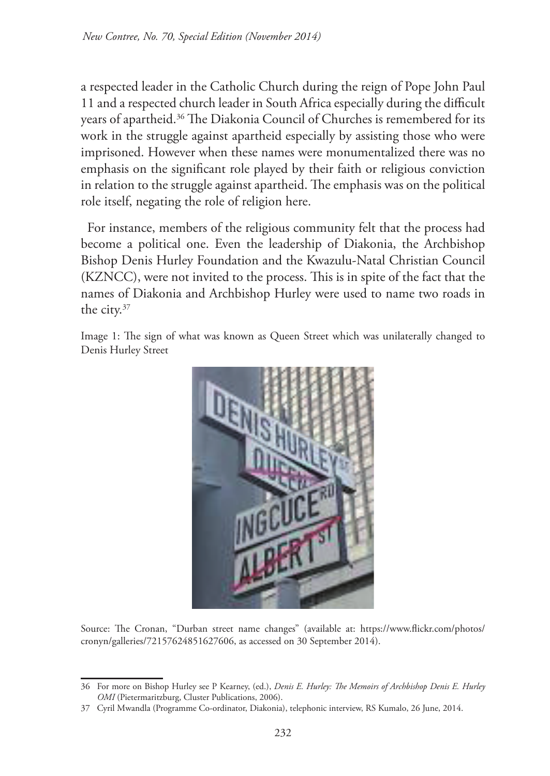a respected leader in the Catholic Church during the reign of Pope John Paul 11 and a respected church leader in South Africa especially during the difficult years of apartheid.<sup>36</sup> The Diakonia Council of Churches is remembered for its work in the struggle against apartheid especially by assisting those who were imprisoned. However when these names were monumentalized there was no emphasis on the significant role played by their faith or religious conviction in relation to the struggle against apartheid. The emphasis was on the political role itself, negating the role of religion here.

For instance, members of the religious community felt that the process had become a political one. Even the leadership of Diakonia, the Archbishop Bishop Denis Hurley Foundation and the Kwazulu-Natal Christian Council (KZNCC), were not invited to the process. This is in spite of the fact that the names of Diakonia and Archbishop Hurley were used to name two roads in the city.37

Image 1: The sign of what was known as Queen Street which was unilaterally changed to Denis Hurley Street



Source: The Cronan, "Durban street name changes" (available at: https://www.flickr.com/photos/ cronyn/galleries/72157624851627606, as accessed on 30 September 2014).

<sup>36</sup> For more on Bishop Hurley see P Kearney, (ed.), *Denis E. Hurley: The Memoirs of Archbishop Denis E. Hurley OMI* (Pietermaritzburg, Cluster Publications, 2006).

<sup>37</sup> Cyril Mwandla (Programme Co-ordinator, Diakonia), telephonic interview, RS Kumalo, 26 June, 2014.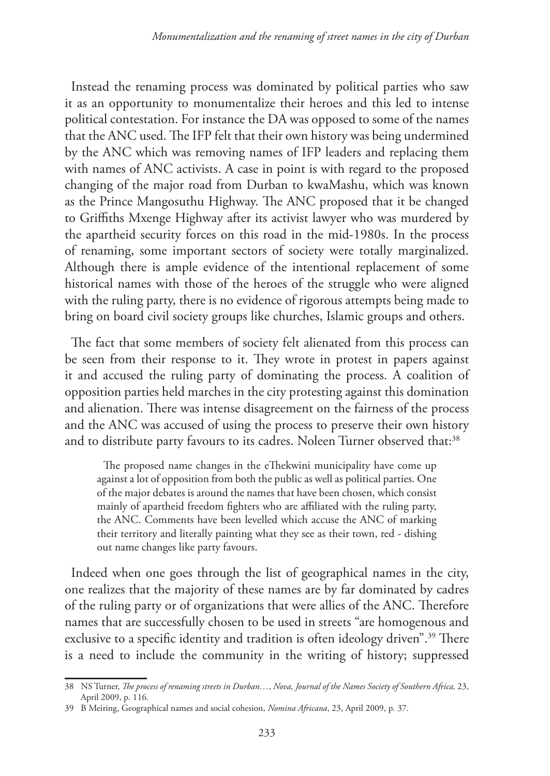Instead the renaming process was dominated by political parties who saw it as an opportunity to monumentalize their heroes and this led to intense political contestation. For instance the DA was opposed to some of the names that the ANC used. The IFP felt that their own history was being undermined by the ANC which was removing names of IFP leaders and replacing them with names of ANC activists. A case in point is with regard to the proposed changing of the major road from Durban to kwaMashu, which was known as the Prince Mangosuthu Highway. The ANC proposed that it be changed to Griffiths Mxenge Highway after its activist lawyer who was murdered by the apartheid security forces on this road in the mid-1980s. In the process of renaming, some important sectors of society were totally marginalized. Although there is ample evidence of the intentional replacement of some historical names with those of the heroes of the struggle who were aligned with the ruling party, there is no evidence of rigorous attempts being made to bring on board civil society groups like churches, Islamic groups and others.

The fact that some members of society felt alienated from this process can be seen from their response to it. They wrote in protest in papers against it and accused the ruling party of dominating the process. A coalition of opposition parties held marches in the city protesting against this domination and alienation. There was intense disagreement on the fairness of the process and the ANC was accused of using the process to preserve their own history and to distribute party favours to its cadres. Noleen Turner observed that:<sup>38</sup>

The proposed name changes in the eThekwini municipality have come up against a lot of opposition from both the public as well as political parties. One of the major debates is around the names that have been chosen, which consist mainly of apartheid freedom fighters who are affiliated with the ruling party, the ANC. Comments have been levelled which accuse the ANC of marking their territory and literally painting what they see as their town, red - dishing out name changes like party favours.

Indeed when one goes through the list of geographical names in the city, one realizes that the majority of these names are by far dominated by cadres of the ruling party or of organizations that were allies of the ANC. Therefore names that are successfully chosen to be used in streets "are homogenous and exclusive to a specific identity and tradition is often ideology driven".<sup>39</sup> There is a need to include the community in the writing of history; suppressed

<sup>38</sup> NS Turner, *The process of renaming streets in Durban…*, *Nova, Journal of the Names Society of Southern Africa,* 23, April 2009, p. 116.

<sup>39</sup> B Meiring, Geographical names and social cohesion, *Nomina Africana*, 23, April 2009, p. 37.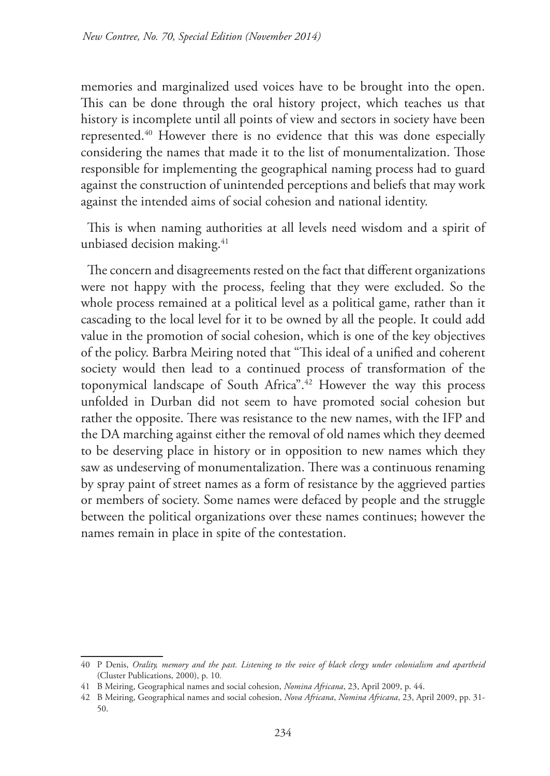memories and marginalized used voices have to be brought into the open. This can be done through the oral history project, which teaches us that history is incomplete until all points of view and sectors in society have been represented.40 However there is no evidence that this was done especially considering the names that made it to the list of monumentalization. Those responsible for implementing the geographical naming process had to guard against the construction of unintended perceptions and beliefs that may work against the intended aims of social cohesion and national identity.

This is when naming authorities at all levels need wisdom and a spirit of unbiased decision making.<sup>41</sup>

The concern and disagreements rested on the fact that different organizations were not happy with the process, feeling that they were excluded. So the whole process remained at a political level as a political game, rather than it cascading to the local level for it to be owned by all the people. It could add value in the promotion of social cohesion, which is one of the key objectives of the policy. Barbra Meiring noted that "This ideal of a unified and coherent society would then lead to a continued process of transformation of the toponymical landscape of South Africa".42 However the way this process unfolded in Durban did not seem to have promoted social cohesion but rather the opposite. There was resistance to the new names, with the IFP and the DA marching against either the removal of old names which they deemed to be deserving place in history or in opposition to new names which they saw as undeserving of monumentalization. There was a continuous renaming by spray paint of street names as a form of resistance by the aggrieved parties or members of society. Some names were defaced by people and the struggle between the political organizations over these names continues; however the names remain in place in spite of the contestation.

<sup>40</sup> P Denis, *Orality, memory and the past. Listening to the voice of black clergy under colonialism and apartheid*  (Cluster Publications, 2000), p. 10*.*

<sup>41</sup> B Meiring, Geographical names and social cohesion, *Nomina Africana*, 23, April 2009, p. 44.

<sup>42</sup> B Meiring, Geographical names and social cohesion, *Nova Africana*, *Nomina Africana*, 23, April 2009, pp. 31- 50.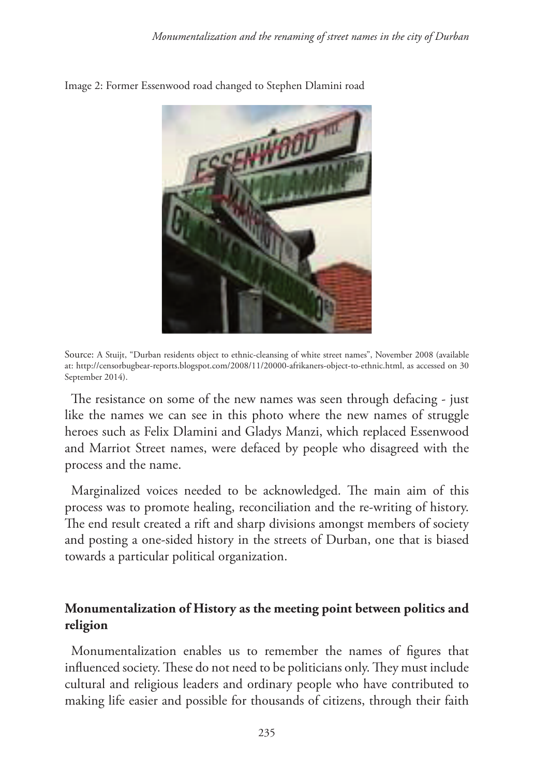

Image 2: Former Essenwood road changed to Stephen Dlamini road

Source: A Stuijt, "Durban residents object to ethnic-cleansing of white street names", November 2008 (available at: http://censorbugbear-reports.blogspot.com/2008/11/20000-afrikaners-object-to-ethnic.html, as accessed on 30 September 2014).

The resistance on some of the new names was seen through defacing - just like the names we can see in this photo where the new names of struggle heroes such as Felix Dlamini and Gladys Manzi, which replaced Essenwood and Marriot Street names, were defaced by people who disagreed with the process and the name.

Marginalized voices needed to be acknowledged. The main aim of this process was to promote healing, reconciliation and the re-writing of history. The end result created a rift and sharp divisions amongst members of society and posting a one-sided history in the streets of Durban, one that is biased towards a particular political organization.

#### **Monumentalization of History as the meeting point between politics and religion**

Monumentalization enables us to remember the names of figures that influenced society. These do not need to be politicians only. They must include cultural and religious leaders and ordinary people who have contributed to making life easier and possible for thousands of citizens, through their faith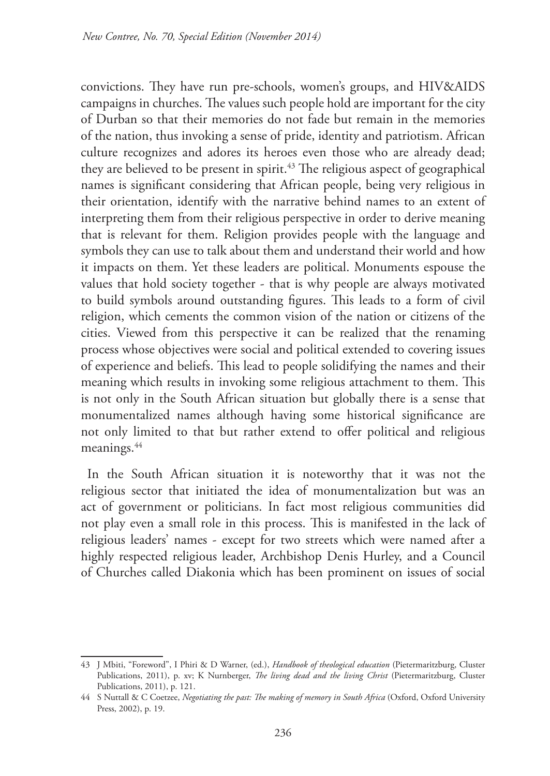convictions. They have run pre-schools, women's groups, and HIV&AIDS campaigns in churches. The values such people hold are important for the city of Durban so that their memories do not fade but remain in the memories of the nation, thus invoking a sense of pride, identity and patriotism. African culture recognizes and adores its heroes even those who are already dead; they are believed to be present in spirit.<sup>43</sup> The religious aspect of geographical names is significant considering that African people, being very religious in their orientation, identify with the narrative behind names to an extent of interpreting them from their religious perspective in order to derive meaning that is relevant for them. Religion provides people with the language and symbols they can use to talk about them and understand their world and how it impacts on them. Yet these leaders are political. Monuments espouse the values that hold society together - that is why people are always motivated to build symbols around outstanding figures. This leads to a form of civil religion, which cements the common vision of the nation or citizens of the cities. Viewed from this perspective it can be realized that the renaming process whose objectives were social and political extended to covering issues of experience and beliefs. This lead to people solidifying the names and their meaning which results in invoking some religious attachment to them. This is not only in the South African situation but globally there is a sense that monumentalized names although having some historical significance are not only limited to that but rather extend to offer political and religious meanings.<sup>44</sup>

In the South African situation it is noteworthy that it was not the religious sector that initiated the idea of monumentalization but was an act of government or politicians. In fact most religious communities did not play even a small role in this process. This is manifested in the lack of religious leaders' names - except for two streets which were named after a highly respected religious leader, Archbishop Denis Hurley, and a Council of Churches called Diakonia which has been prominent on issues of social

<sup>43</sup> J Mbiti, "Foreword", I Phiri & D Warner, (ed.), *Handbook of theological education* (Pietermaritzburg, Cluster Publications, 2011), p. xv; K Nurnberger, *The living dead and the living Christ* (Pietermaritzburg, Cluster Publications, 2011), p. 121.

<sup>44</sup> S Nuttall & C Coetzee, *Negotiating the past: The making of memory in South Africa* (Oxford, Oxford University Press, 2002), p. 19.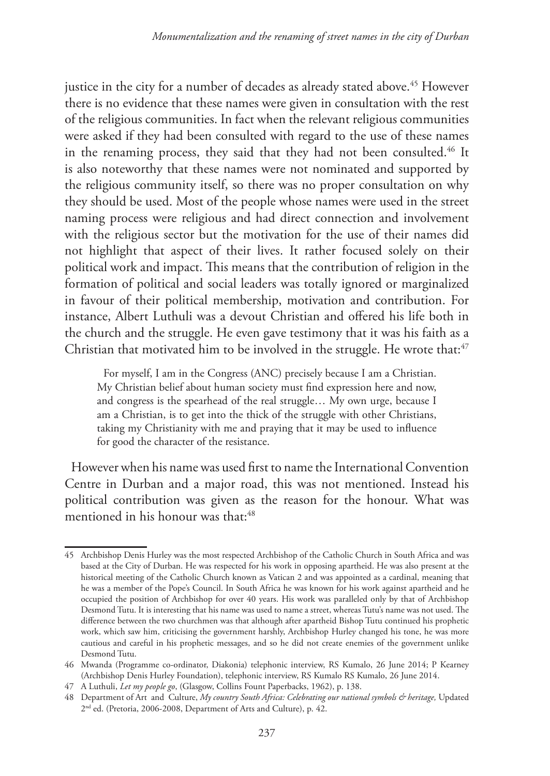justice in the city for a number of decades as already stated above.<sup>45</sup> However there is no evidence that these names were given in consultation with the rest of the religious communities. In fact when the relevant religious communities were asked if they had been consulted with regard to the use of these names in the renaming process, they said that they had not been consulted.<sup>46</sup> It is also noteworthy that these names were not nominated and supported by the religious community itself, so there was no proper consultation on why they should be used. Most of the people whose names were used in the street naming process were religious and had direct connection and involvement with the religious sector but the motivation for the use of their names did not highlight that aspect of their lives. It rather focused solely on their political work and impact. This means that the contribution of religion in the formation of political and social leaders was totally ignored or marginalized in favour of their political membership, motivation and contribution. For instance, Albert Luthuli was a devout Christian and offered his life both in the church and the struggle. He even gave testimony that it was his faith as a Christian that motivated him to be involved in the struggle. He wrote that:<sup>47</sup>

For myself, I am in the Congress (ANC) precisely because I am a Christian. My Christian belief about human society must find expression here and now, and congress is the spearhead of the real struggle… My own urge, because I am a Christian, is to get into the thick of the struggle with other Christians, taking my Christianity with me and praying that it may be used to influence for good the character of the resistance.

However when his name was used first to name the International Convention Centre in Durban and a major road, this was not mentioned. Instead his political contribution was given as the reason for the honour. What was mentioned in his honour was that:<sup>48</sup>

<sup>45</sup> Archbishop Denis Hurley was the most respected Archbishop of the Catholic Church in South Africa and was based at the City of Durban. He was respected for his work in opposing apartheid. He was also present at the historical meeting of the Catholic Church known as Vatican 2 and was appointed as a cardinal, meaning that he was a member of the Pope's Council. In South Africa he was known for his work against apartheid and he occupied the position of Archbishop for over 40 years. His work was paralleled only by that of Archbishop Desmond Tutu. It is interesting that his name was used to name a street, whereas Tutu's name was not used. The difference between the two churchmen was that although after apartheid Bishop Tutu continued his prophetic work, which saw him, criticising the government harshly, Archbishop Hurley changed his tone, he was more cautious and careful in his prophetic messages, and so he did not create enemies of the government unlike Desmond Tutu.

<sup>46</sup> Mwanda (Programme co-ordinator, Diakonia) telephonic interview, RS Kumalo, 26 June 2014; P Kearney (Archbishop Denis Hurley Foundation), telephonic interview, RS Kumalo RS Kumalo, 26 June 2014.

<sup>47</sup> A Luthuli, *Let my people go*, (Glasgow, Collins Fount Paperbacks, 1962), p. 138.

<sup>48</sup> Department of Art and Culture, *My country South Africa: Celebrating our national symbols & heritage,* Updated 2nd ed. (Pretoria, 2006-2008, Department of Arts and Culture), p. 42.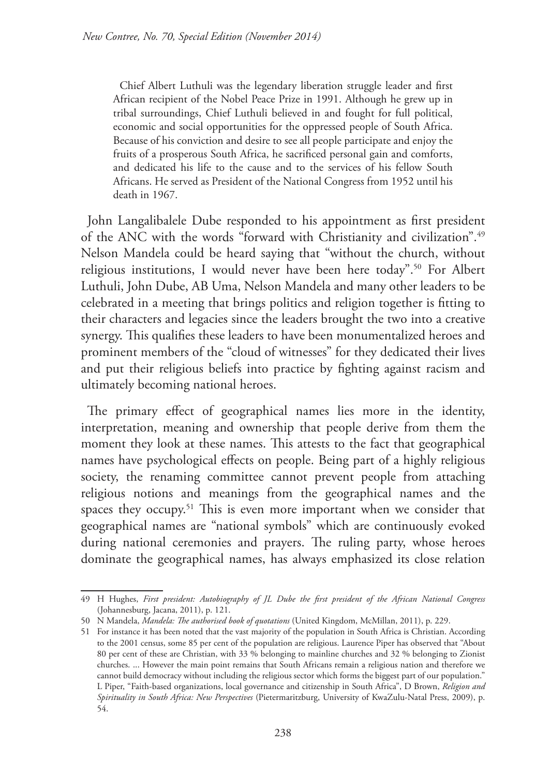Chief Albert Luthuli was the legendary liberation struggle leader and first African recipient of the Nobel Peace Prize in 1991. Although he grew up in tribal surroundings, Chief Luthuli believed in and fought for full political, economic and social opportunities for the oppressed people of South Africa. Because of his conviction and desire to see all people participate and enjoy the fruits of a prosperous South Africa, he sacrificed personal gain and comforts, and dedicated his life to the cause and to the services of his fellow South Africans. He served as President of the National Congress from 1952 until his death in 1967.

John Langalibalele Dube responded to his appointment as first president of the ANC with the words "forward with Christianity and civilization".49 Nelson Mandela could be heard saying that "without the church, without religious institutions, I would never have been here today".<sup>50</sup> For Albert Luthuli, John Dube, AB Uma, Nelson Mandela and many other leaders to be celebrated in a meeting that brings politics and religion together is fitting to their characters and legacies since the leaders brought the two into a creative synergy. This qualifies these leaders to have been monumentalized heroes and prominent members of the "cloud of witnesses" for they dedicated their lives and put their religious beliefs into practice by fighting against racism and ultimately becoming national heroes.

The primary effect of geographical names lies more in the identity, interpretation, meaning and ownership that people derive from them the moment they look at these names. This attests to the fact that geographical names have psychological effects on people. Being part of a highly religious society, the renaming committee cannot prevent people from attaching religious notions and meanings from the geographical names and the spaces they occupy.<sup>51</sup> This is even more important when we consider that geographical names are "national symbols" which are continuously evoked during national ceremonies and prayers. The ruling party, whose heroes dominate the geographical names, has always emphasized its close relation

<sup>49</sup> H Hughes, *First president: Autobiography of JL Dube the first president of the African National Congress* (Johannesburg, Jacana, 2011), p. 121.

<sup>50</sup> N Mandela, *Mandela: The authorised book of quotations* (United Kingdom, McMillan, 2011), p. 229.

<sup>51</sup> For instance it has been noted that the vast majority of the population in South Africa is Christian. According to the 2001 census, some 85 per cent of the population are religious. Laurence Piper has observed that "About 80 per cent of these are Christian, with 33 % belonging to mainline churches and 32 % belonging to Zionist churches. ... However the main point remains that South Africans remain a religious nation and therefore we cannot build democracy without including the religious sector which forms the biggest part of our population." L Piper, "Faith-based organizations, local governance and citizenship in South Africa", D Brown, *Religion and Spirituality in South Africa: New Perspectives* (Pietermaritzburg, University of KwaZulu-Natal Press, 2009), p. 54.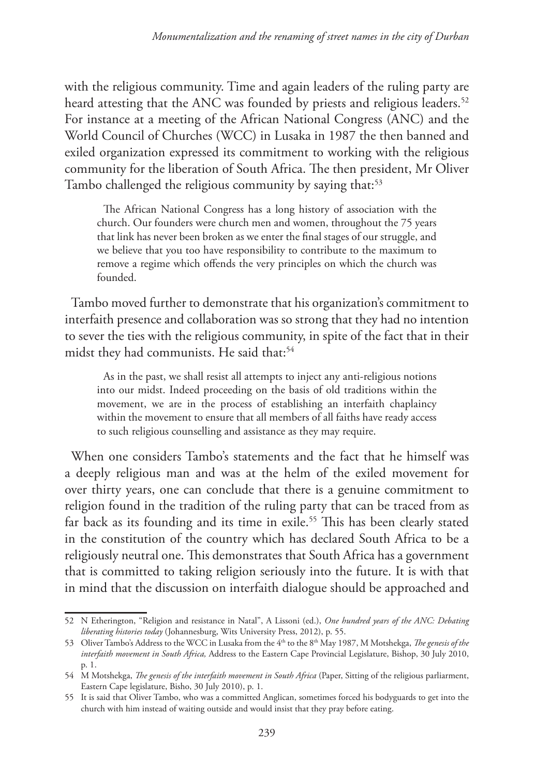with the religious community. Time and again leaders of the ruling party are heard attesting that the ANC was founded by priests and religious leaders.<sup>52</sup> For instance at a meeting of the African National Congress (ANC) and the World Council of Churches (WCC) in Lusaka in 1987 the then banned and exiled organization expressed its commitment to working with the religious community for the liberation of South Africa. The then president, Mr Oliver Tambo challenged the religious community by saying that:<sup>53</sup>

The African National Congress has a long history of association with the church. Our founders were church men and women, throughout the 75 years that link has never been broken as we enter the final stages of our struggle, and we believe that you too have responsibility to contribute to the maximum to remove a regime which offends the very principles on which the church was founded.

Tambo moved further to demonstrate that his organization's commitment to interfaith presence and collaboration was so strong that they had no intention to sever the ties with the religious community, in spite of the fact that in their midst they had communists. He said that:<sup>54</sup>

As in the past, we shall resist all attempts to inject any anti-religious notions into our midst. Indeed proceeding on the basis of old traditions within the movement, we are in the process of establishing an interfaith chaplaincy within the movement to ensure that all members of all faiths have ready access to such religious counselling and assistance as they may require.

When one considers Tambo's statements and the fact that he himself was a deeply religious man and was at the helm of the exiled movement for over thirty years, one can conclude that there is a genuine commitment to religion found in the tradition of the ruling party that can be traced from as far back as its founding and its time in exile.<sup>55</sup> This has been clearly stated in the constitution of the country which has declared South Africa to be a religiously neutral one. This demonstrates that South Africa has a government that is committed to taking religion seriously into the future. It is with that in mind that the discussion on interfaith dialogue should be approached and

<sup>52</sup> N Etherington, "Religion and resistance in Natal", A Lissoni (ed.), *One hundred years of the ANC: Debating liberating histories today* (Johannesburg, Wits University Press, 2012), p. 55.

<sup>53</sup> Oliver Tambo's Address to the WCC in Lusaka from the 4th to the 8th May 1987, M Motshekga, *The genesis of the interfaith movement in South Africa,* Address to the Eastern Cape Provincial Legislature, Bishop, 30 July 2010, p. 1.

<sup>54</sup> M Motshekga, *The genesis of the interfaith movement in South Africa* (Paper, Sitting of the religious parliarment, Eastern Cape legislature, Bisho, 30 July 2010), p. 1.

<sup>55</sup> It is said that Oliver Tambo, who was a committed Anglican, sometimes forced his bodyguards to get into the church with him instead of waiting outside and would insist that they pray before eating.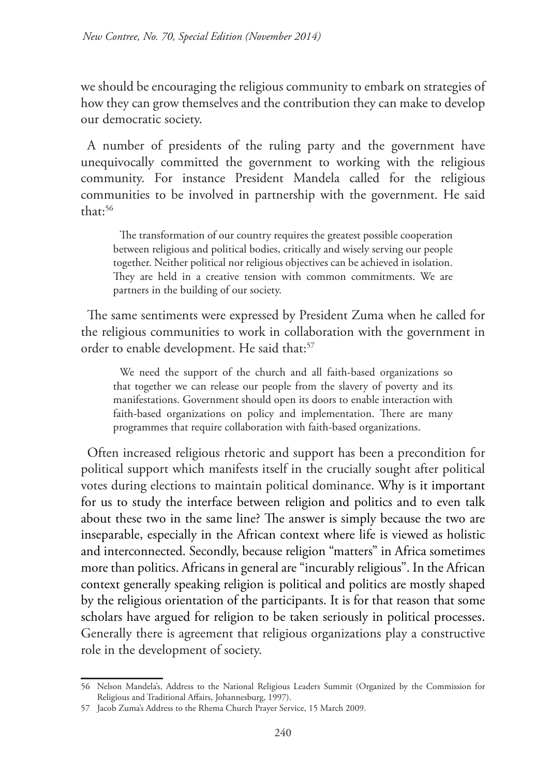we should be encouraging the religious community to embark on strategies of how they can grow themselves and the contribution they can make to develop our democratic society.

A number of presidents of the ruling party and the government have unequivocally committed the government to working with the religious community. For instance President Mandela called for the religious communities to be involved in partnership with the government. He said that:56

The transformation of our country requires the greatest possible cooperation between religious and political bodies, critically and wisely serving our people together. Neither political nor religious objectives can be achieved in isolation. They are held in a creative tension with common commitments. We are partners in the building of our society.

The same sentiments were expressed by President Zuma when he called for the religious communities to work in collaboration with the government in order to enable development. He said that:<sup>57</sup>

We need the support of the church and all faith-based organizations so that together we can release our people from the slavery of poverty and its manifestations. Government should open its doors to enable interaction with faith-based organizations on policy and implementation. There are many programmes that require collaboration with faith-based organizations.

Often increased religious rhetoric and support has been a precondition for political support which manifests itself in the crucially sought after political votes during elections to maintain political dominance. Why is it important for us to study the interface between religion and politics and to even talk about these two in the same line? The answer is simply because the two are inseparable, especially in the African context where life is viewed as holistic and interconnected. Secondly, because religion "matters" in Africa sometimes more than politics. Africans in general are "incurably religious". In the African context generally speaking religion is political and politics are mostly shaped by the religious orientation of the participants. It is for that reason that some scholars have argued for religion to be taken seriously in political processes. Generally there is agreement that religious organizations play a constructive role in the development of society.

<sup>56</sup> Nelson Mandela's, Address to the National Religious Leaders Summit (Organized by the Commission for Religious and Traditional Affairs, Johannesburg, 1997).

<sup>57</sup> Jacob Zuma's Address to the Rhema Church Prayer Service, 15 March 2009.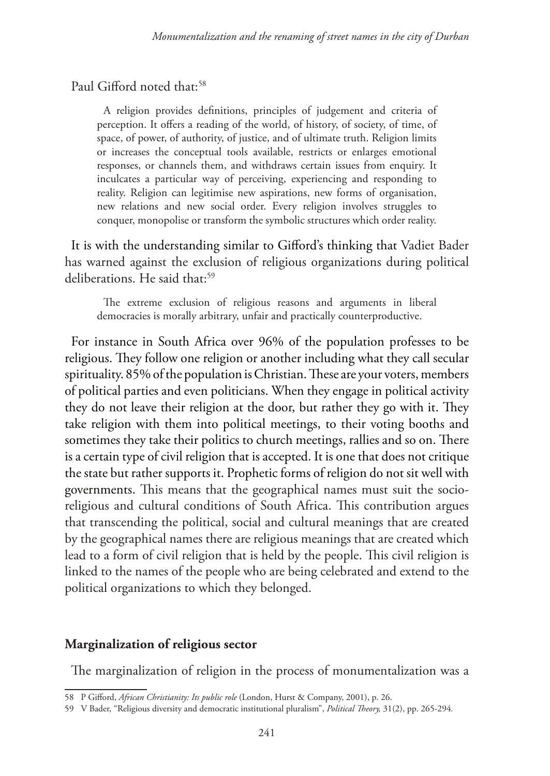#### Paul Gifford noted that:<sup>58</sup>

A religion provides definitions, principles of judgement and criteria of perception. It offers a reading of the world, of history, of society, of time, of space, of power, of authority, of justice, and of ultimate truth. Religion limits or increases the conceptual tools available, restricts or enlarges emotional responses, or channels them, and withdraws certain issues from enquiry. It inculcates a particular way of perceiving, experiencing and responding to reality. Religion can legitimise new aspirations, new forms of organisation, new relations and new social order. Every religion involves struggles to conquer, monopolise or transform the symbolic structures which order reality.

It is with the understanding similar to Gifford's thinking that Vadiet Bader has warned against the exclusion of religious organizations during political deliberations. He said that:<sup>59</sup>

The extreme exclusion of religious reasons and arguments in liberal democracies is morally arbitrary, unfair and practically counterproductive.

For instance in South Africa over 96% of the population professes to be religious. They follow one religion or another including what they call secular spirituality. 85% of the population is Christian. These are your voters, members of political parties and even politicians. When they engage in political activity they do not leave their religion at the door, but rather they go with it. They take religion with them into political meetings, to their voting booths and sometimes they take their politics to church meetings, rallies and so on. There is a certain type of civil religion that is accepted. It is one that does not critique the state but rather supports it. Prophetic forms of religion do not sit well with governments. This means that the geographical names must suit the socioreligious and cultural conditions of South Africa. This contribution argues that transcending the political, social and cultural meanings that are created by the geographical names there are religious meanings that are created which lead to a form of civil religion that is held by the people. This civil religion is linked to the names of the people who are being celebrated and extend to the political organizations to which they belonged.

#### **Marginalization of religious sector**

The marginalization of religion in the process of monumentalization was a

<sup>58</sup> P Gifford, *African Christianity: Its public role* (London, Hurst & Company, 2001), p. 26.

<sup>59</sup> V Bader, "Religious diversity and democratic institutional pluralism", *Political Theory,* 31(2), pp. 265-294*.*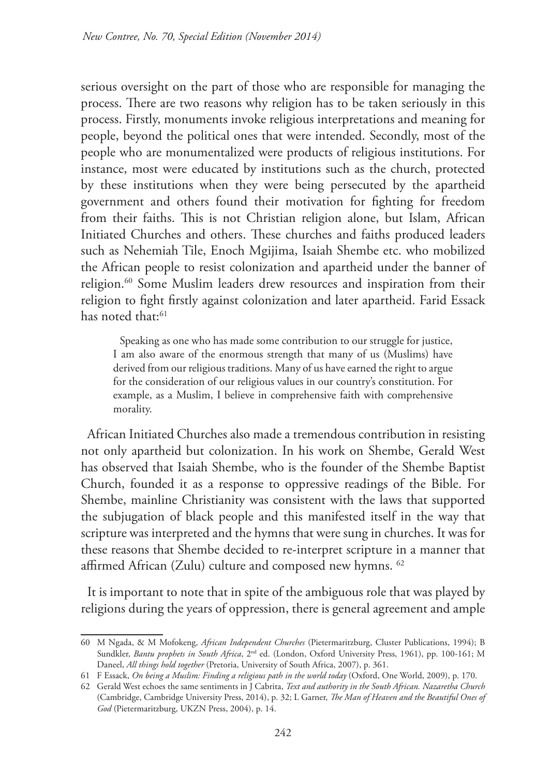serious oversight on the part of those who are responsible for managing the process. There are two reasons why religion has to be taken seriously in this process. Firstly, monuments invoke religious interpretations and meaning for people, beyond the political ones that were intended. Secondly, most of the people who are monumentalized were products of religious institutions. For instance, most were educated by institutions such as the church, protected by these institutions when they were being persecuted by the apartheid government and others found their motivation for fighting for freedom from their faiths. This is not Christian religion alone, but Islam, African Initiated Churches and others. These churches and faiths produced leaders such as Nehemiah Tile, Enoch Mgijima, Isaiah Shembe etc. who mobilized the African people to resist colonization and apartheid under the banner of religion.60 Some Muslim leaders drew resources and inspiration from their religion to fight firstly against colonization and later apartheid. Farid Essack has noted that:<sup>61</sup>

Speaking as one who has made some contribution to our struggle for justice, I am also aware of the enormous strength that many of us (Muslims) have derived from our religious traditions. Many of us have earned the right to argue for the consideration of our religious values in our country's constitution. For example, as a Muslim, I believe in comprehensive faith with comprehensive morality.

African Initiated Churches also made a tremendous contribution in resisting not only apartheid but colonization. In his work on Shembe, Gerald West has observed that Isaiah Shembe, who is the founder of the Shembe Baptist Church, founded it as a response to oppressive readings of the Bible. For Shembe, mainline Christianity was consistent with the laws that supported the subjugation of black people and this manifested itself in the way that scripture was interpreted and the hymns that were sung in churches. It was for these reasons that Shembe decided to re-interpret scripture in a manner that affirmed African (Zulu) culture and composed new hymns. 62

It is important to note that in spite of the ambiguous role that was played by religions during the years of oppression, there is general agreement and ample

<sup>60</sup> M Ngada, & M Mofokeng, *African Independent Churches* (Pietermaritzburg, Cluster Publications, 1994); B Sundkler, *Bantu prophets in South Africa*, 2<sup>nd</sup> ed. (London, Oxford University Press, 1961), pp. 100-161; M Daneel, *All things hold together* (Pretoria, University of South Africa, 2007), p. 361.

<sup>61</sup> F Essack, *On being a Muslim: Finding a religious path in the world today* (Oxford, One World, 2009), p. 170.

<sup>62</sup> Gerald West echoes the same sentiments in J Cabrita, *Text and authority in the South African. Nazaretha Church*  (Cambridge, Cambridge University Press, 2014), p. 32; L Garner, *The Man of Heaven and the Beautiful Ones of God* (Pietermaritzburg, UKZN Press, 2004), p. 14.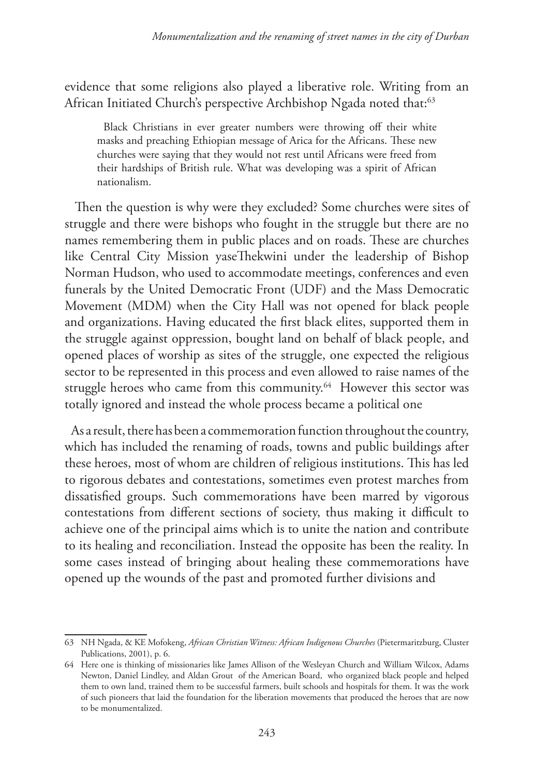evidence that some religions also played a liberative role. Writing from an African Initiated Church's perspective Archbishop Ngada noted that:<sup>63</sup>

Black Christians in ever greater numbers were throwing off their white masks and preaching Ethiopian message of Arica for the Africans. These new churches were saying that they would not rest until Africans were freed from their hardships of British rule. What was developing was a spirit of African nationalism.

 Then the question is why were they excluded? Some churches were sites of struggle and there were bishops who fought in the struggle but there are no names remembering them in public places and on roads. These are churches like Central City Mission yaseThekwini under the leadership of Bishop Norman Hudson, who used to accommodate meetings, conferences and even funerals by the United Democratic Front (UDF) and the Mass Democratic Movement (MDM) when the City Hall was not opened for black people and organizations. Having educated the first black elites, supported them in the struggle against oppression, bought land on behalf of black people, and opened places of worship as sites of the struggle, one expected the religious sector to be represented in this process and even allowed to raise names of the struggle heroes who came from this community.<sup>64</sup> However this sector was totally ignored and instead the whole process became a political one

As a result, there has been a commemoration function throughout the country, which has included the renaming of roads, towns and public buildings after these heroes, most of whom are children of religious institutions. This has led to rigorous debates and contestations, sometimes even protest marches from dissatisfied groups. Such commemorations have been marred by vigorous contestations from different sections of society, thus making it difficult to achieve one of the principal aims which is to unite the nation and contribute to its healing and reconciliation. Instead the opposite has been the reality. In some cases instead of bringing about healing these commemorations have opened up the wounds of the past and promoted further divisions and

<sup>63</sup> NH Ngada, & KE Mofokeng, *African Christian Witness: African Indigenous Churches* (Pietermaritzburg, Cluster Publications, 2001), p. 6.

<sup>64</sup> Here one is thinking of missionaries like James Allison of the Wesleyan Church and William Wilcox, Adams Newton, Daniel Lindley, and Aldan Grout of the American Board, who organized black people and helped them to own land, trained them to be successful farmers, built schools and hospitals for them. It was the work of such pioneers that laid the foundation for the liberation movements that produced the heroes that are now to be monumentalized.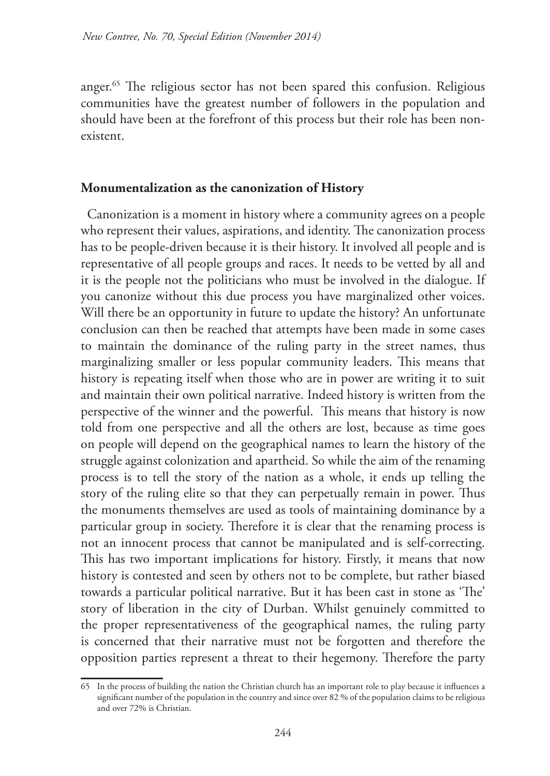anger.65 The religious sector has not been spared this confusion. Religious communities have the greatest number of followers in the population and should have been at the forefront of this process but their role has been nonexistent.

#### **Monumentalization as the canonization of History**

Canonization is a moment in history where a community agrees on a people who represent their values, aspirations, and identity. The canonization process has to be people-driven because it is their history. It involved all people and is representative of all people groups and races. It needs to be vetted by all and it is the people not the politicians who must be involved in the dialogue. If you canonize without this due process you have marginalized other voices. Will there be an opportunity in future to update the history? An unfortunate conclusion can then be reached that attempts have been made in some cases to maintain the dominance of the ruling party in the street names, thus marginalizing smaller or less popular community leaders. This means that history is repeating itself when those who are in power are writing it to suit and maintain their own political narrative. Indeed history is written from the perspective of the winner and the powerful. This means that history is now told from one perspective and all the others are lost, because as time goes on people will depend on the geographical names to learn the history of the struggle against colonization and apartheid. So while the aim of the renaming process is to tell the story of the nation as a whole, it ends up telling the story of the ruling elite so that they can perpetually remain in power. Thus the monuments themselves are used as tools of maintaining dominance by a particular group in society. Therefore it is clear that the renaming process is not an innocent process that cannot be manipulated and is self-correcting. This has two important implications for history. Firstly, it means that now history is contested and seen by others not to be complete, but rather biased towards a particular political narrative. But it has been cast in stone as 'The' story of liberation in the city of Durban. Whilst genuinely committed to the proper representativeness of the geographical names, the ruling party is concerned that their narrative must not be forgotten and therefore the opposition parties represent a threat to their hegemony. Therefore the party

<sup>65</sup> In the process of building the nation the Christian church has an important role to play because it influences a significant number of the population in the country and since over 82 % of the population claims to be religious and over 72% is Christian.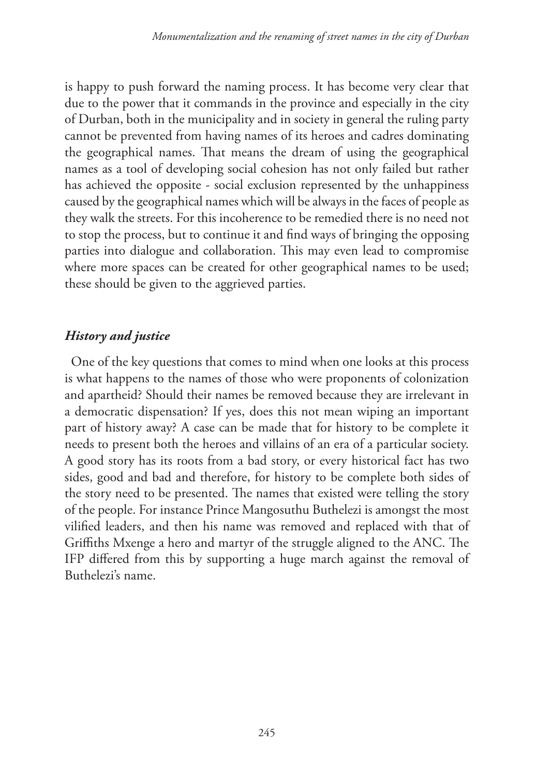is happy to push forward the naming process. It has become very clear that due to the power that it commands in the province and especially in the city of Durban, both in the municipality and in society in general the ruling party cannot be prevented from having names of its heroes and cadres dominating the geographical names. That means the dream of using the geographical names as a tool of developing social cohesion has not only failed but rather has achieved the opposite - social exclusion represented by the unhappiness caused by the geographical names which will be always in the faces of people as they walk the streets. For this incoherence to be remedied there is no need not to stop the process, but to continue it and find ways of bringing the opposing parties into dialogue and collaboration. This may even lead to compromise where more spaces can be created for other geographical names to be used; these should be given to the aggrieved parties.

# *History and justice*

One of the key questions that comes to mind when one looks at this process is what happens to the names of those who were proponents of colonization and apartheid? Should their names be removed because they are irrelevant in a democratic dispensation? If yes, does this not mean wiping an important part of history away? A case can be made that for history to be complete it needs to present both the heroes and villains of an era of a particular society. A good story has its roots from a bad story, or every historical fact has two sides, good and bad and therefore, for history to be complete both sides of the story need to be presented. The names that existed were telling the story of the people. For instance Prince Mangosuthu Buthelezi is amongst the most vilified leaders, and then his name was removed and replaced with that of Griffiths Mxenge a hero and martyr of the struggle aligned to the ANC. The IFP differed from this by supporting a huge march against the removal of Buthelezi's name.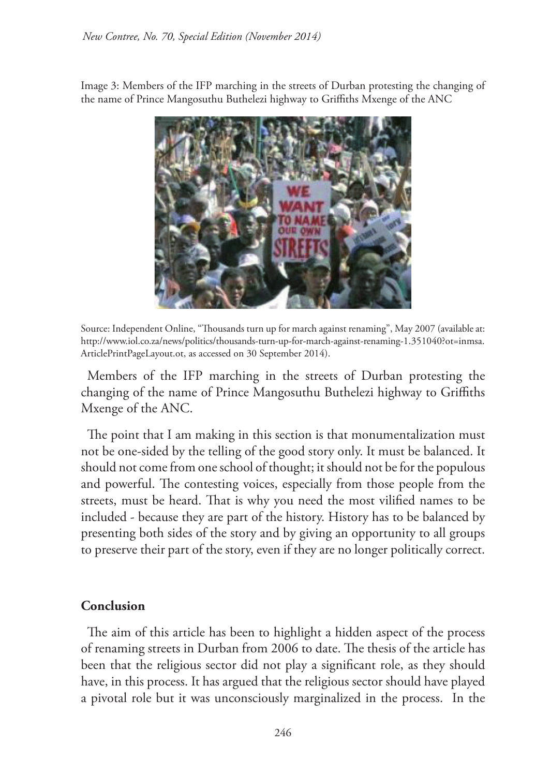Image 3: Members of the IFP marching in the streets of Durban protesting the changing of the name of Prince Mangosuthu Buthelezi highway to Griffiths Mxenge of the ANC



Source: Independent Online, "Thousands turn up for march against renaming", May 2007 (available at: http://www.iol.co.za/news/politics/thousands-turn-up-for-march-against-renaming-1.351040?ot=inmsa. ArticlePrintPageLayout.ot, as accessed on 30 September 2014).

Members of the IFP marching in the streets of Durban protesting the changing of the name of Prince Mangosuthu Buthelezi highway to Griffiths Mxenge of the ANC.

The point that I am making in this section is that monumentalization must not be one-sided by the telling of the good story only. It must be balanced. It should not come from one school of thought; it should not be for the populous and powerful. The contesting voices, especially from those people from the streets, must be heard. That is why you need the most vilified names to be included - because they are part of the history. History has to be balanced by presenting both sides of the story and by giving an opportunity to all groups to preserve their part of the story, even if they are no longer politically correct.

### **Conclusion**

The aim of this article has been to highlight a hidden aspect of the process of renaming streets in Durban from 2006 to date. The thesis of the article has been that the religious sector did not play a significant role, as they should have, in this process. It has argued that the religious sector should have played a pivotal role but it was unconsciously marginalized in the process. In the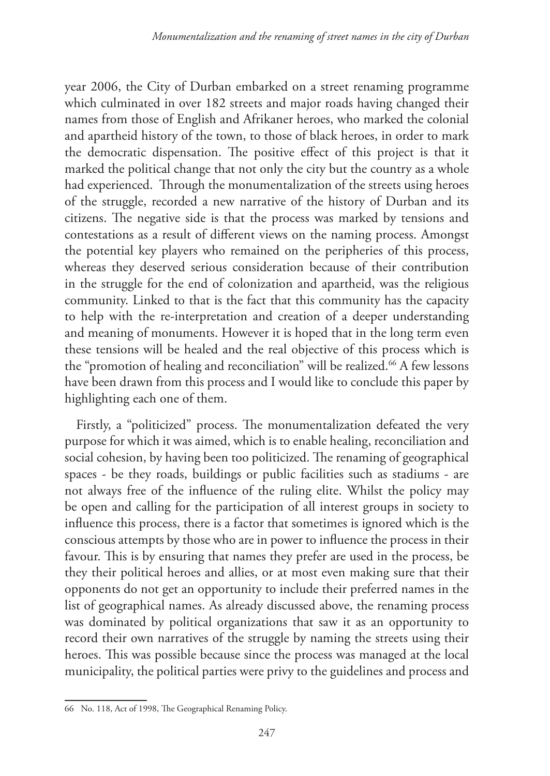year 2006, the City of Durban embarked on a street renaming programme which culminated in over 182 streets and major roads having changed their names from those of English and Afrikaner heroes, who marked the colonial and apartheid history of the town, to those of black heroes, in order to mark the democratic dispensation. The positive effect of this project is that it marked the political change that not only the city but the country as a whole had experienced. Through the monumentalization of the streets using heroes of the struggle, recorded a new narrative of the history of Durban and its citizens. The negative side is that the process was marked by tensions and contestations as a result of different views on the naming process. Amongst the potential key players who remained on the peripheries of this process, whereas they deserved serious consideration because of their contribution in the struggle for the end of colonization and apartheid, was the religious community. Linked to that is the fact that this community has the capacity to help with the re-interpretation and creation of a deeper understanding and meaning of monuments. However it is hoped that in the long term even these tensions will be healed and the real objective of this process which is the "promotion of healing and reconciliation" will be realized.<sup>66</sup> A few lessons have been drawn from this process and I would like to conclude this paper by highlighting each one of them.

 Firstly, a "politicized" process. The monumentalization defeated the very purpose for which it was aimed, which is to enable healing, reconciliation and social cohesion, by having been too politicized. The renaming of geographical spaces - be they roads, buildings or public facilities such as stadiums - are not always free of the influence of the ruling elite. Whilst the policy may be open and calling for the participation of all interest groups in society to influence this process, there is a factor that sometimes is ignored which is the conscious attempts by those who are in power to influence the process in their favour. This is by ensuring that names they prefer are used in the process, be they their political heroes and allies, or at most even making sure that their opponents do not get an opportunity to include their preferred names in the list of geographical names. As already discussed above, the renaming process was dominated by political organizations that saw it as an opportunity to record their own narratives of the struggle by naming the streets using their heroes. This was possible because since the process was managed at the local municipality, the political parties were privy to the guidelines and process and

<sup>66</sup> No. 118, Act of 1998, The Geographical Renaming Policy.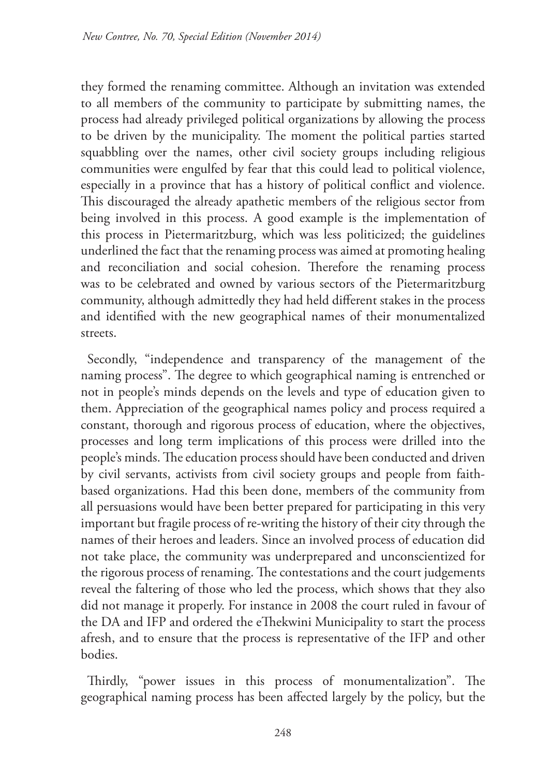they formed the renaming committee. Although an invitation was extended to all members of the community to participate by submitting names, the process had already privileged political organizations by allowing the process to be driven by the municipality. The moment the political parties started squabbling over the names, other civil society groups including religious communities were engulfed by fear that this could lead to political violence, especially in a province that has a history of political conflict and violence. This discouraged the already apathetic members of the religious sector from being involved in this process. A good example is the implementation of this process in Pietermaritzburg, which was less politicized; the guidelines underlined the fact that the renaming process was aimed at promoting healing and reconciliation and social cohesion. Therefore the renaming process was to be celebrated and owned by various sectors of the Pietermaritzburg community, although admittedly they had held different stakes in the process and identified with the new geographical names of their monumentalized streets.

Secondly, "independence and transparency of the management of the naming process". The degree to which geographical naming is entrenched or not in people's minds depends on the levels and type of education given to them. Appreciation of the geographical names policy and process required a constant, thorough and rigorous process of education, where the objectives, processes and long term implications of this process were drilled into the people's minds. The education process should have been conducted and driven by civil servants, activists from civil society groups and people from faithbased organizations. Had this been done, members of the community from all persuasions would have been better prepared for participating in this very important but fragile process of re-writing the history of their city through the names of their heroes and leaders. Since an involved process of education did not take place, the community was underprepared and unconscientized for the rigorous process of renaming. The contestations and the court judgements reveal the faltering of those who led the process, which shows that they also did not manage it properly. For instance in 2008 the court ruled in favour of the DA and IFP and ordered the eThekwini Municipality to start the process afresh, and to ensure that the process is representative of the IFP and other bodies.

Thirdly, "power issues in this process of monumentalization". The geographical naming process has been affected largely by the policy, but the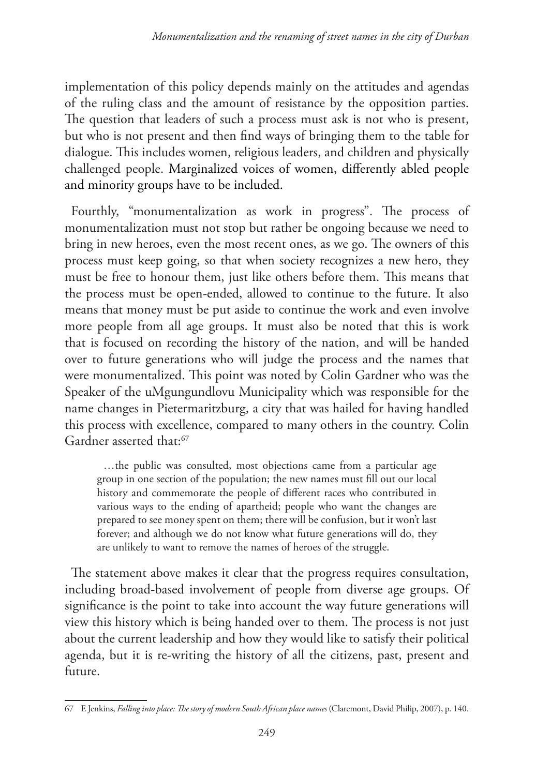implementation of this policy depends mainly on the attitudes and agendas of the ruling class and the amount of resistance by the opposition parties. The question that leaders of such a process must ask is not who is present, but who is not present and then find ways of bringing them to the table for dialogue. This includes women, religious leaders, and children and physically challenged people. Marginalized voices of women, differently abled people and minority groups have to be included.

Fourthly, "monumentalization as work in progress". The process of monumentalization must not stop but rather be ongoing because we need to bring in new heroes, even the most recent ones, as we go. The owners of this process must keep going, so that when society recognizes a new hero, they must be free to honour them, just like others before them. This means that the process must be open-ended, allowed to continue to the future. It also means that money must be put aside to continue the work and even involve more people from all age groups. It must also be noted that this is work that is focused on recording the history of the nation, and will be handed over to future generations who will judge the process and the names that were monumentalized. This point was noted by Colin Gardner who was the Speaker of the uMgungundlovu Municipality which was responsible for the name changes in Pietermaritzburg, a city that was hailed for having handled this process with excellence, compared to many others in the country. Colin Gardner asserted that:67

…the public was consulted, most objections came from a particular age group in one section of the population; the new names must fill out our local history and commemorate the people of different races who contributed in various ways to the ending of apartheid; people who want the changes are prepared to see money spent on them; there will be confusion, but it won't last forever; and although we do not know what future generations will do, they are unlikely to want to remove the names of heroes of the struggle.

The statement above makes it clear that the progress requires consultation, including broad-based involvement of people from diverse age groups. Of significance is the point to take into account the way future generations will view this history which is being handed over to them. The process is not just about the current leadership and how they would like to satisfy their political agenda, but it is re-writing the history of all the citizens, past, present and future.

<sup>67</sup> E Jenkins, *Falling into place: The story of modern South African place names* (Claremont, David Philip, 2007), p. 140.